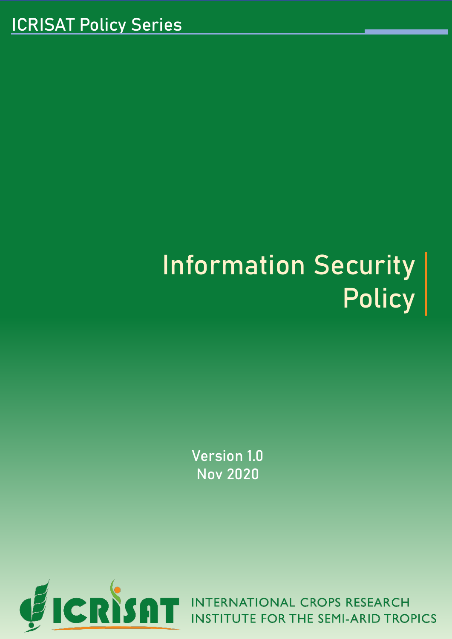# Information Security Policy

Version 1.0 Nov 2020

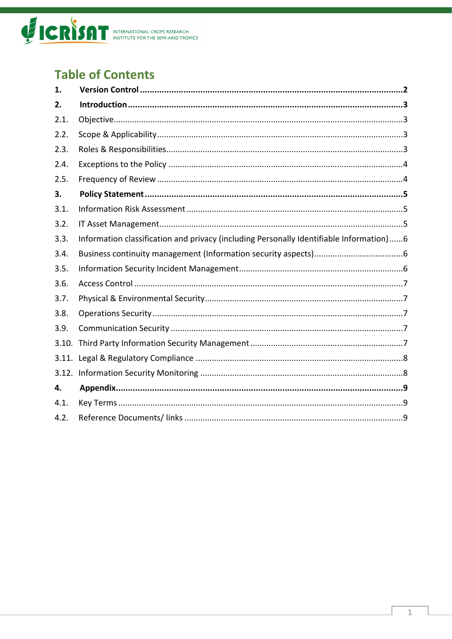

# **Table of Contents**

| 1.    |                                                                                         |
|-------|-----------------------------------------------------------------------------------------|
| 2.    |                                                                                         |
| 2.1.  |                                                                                         |
| 2.2.  |                                                                                         |
| 2.3.  |                                                                                         |
| 2.4.  |                                                                                         |
| 2.5.  |                                                                                         |
| 3.    |                                                                                         |
| 3.1.  |                                                                                         |
| 3.2.  |                                                                                         |
| 3.3.  | Information classification and privacy (including Personally Identifiable Information)6 |
| 3.4.  |                                                                                         |
| 3.5.  |                                                                                         |
| 3.6.  |                                                                                         |
| 3.7.  |                                                                                         |
| 3.8.  |                                                                                         |
| 3.9.  |                                                                                         |
| 3.10. |                                                                                         |
| 3.11. |                                                                                         |
|       |                                                                                         |
| 4.    |                                                                                         |
| 4.1.  |                                                                                         |
| 4.2.  |                                                                                         |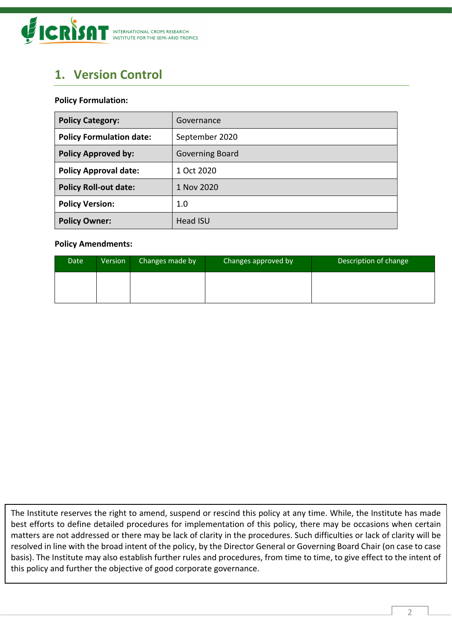

# <span id="page-2-0"></span>**1. Version Control**

#### **Policy Formulation:**

| <b>Policy Category:</b>         | Governance      |
|---------------------------------|-----------------|
| <b>Policy Formulation date:</b> | September 2020  |
| <b>Policy Approved by:</b>      | Governing Board |
| <b>Policy Approval date:</b>    | 1 Oct 2020      |
| <b>Policy Roll-out date:</b>    | 1 Nov 2020      |
| <b>Policy Version:</b>          | 1.0             |
| <b>Policy Owner:</b>            | <b>Head ISU</b> |

#### **Policy Amendments:**

| Date | Version | Changes made by | Changes approved by | Description of change |
|------|---------|-----------------|---------------------|-----------------------|
|      |         |                 |                     |                       |
|      |         |                 |                     |                       |

The Institute reserves the right to amend, suspend or rescind this policy at any time. While, the Institute has made best efforts to define detailed procedures for implementation of this policy, there may be occasions when certain matters are not addressed or there may be lack of clarity in the procedures. Such difficulties or lack of clarity will be resolved in line with the broad intent of the policy, by the Director General or Governing Board Chair (on case to case basis). The Institute may also establish further rules and procedures, from time to time, to give effect to the intent of this policy and further the objective of good corporate governance.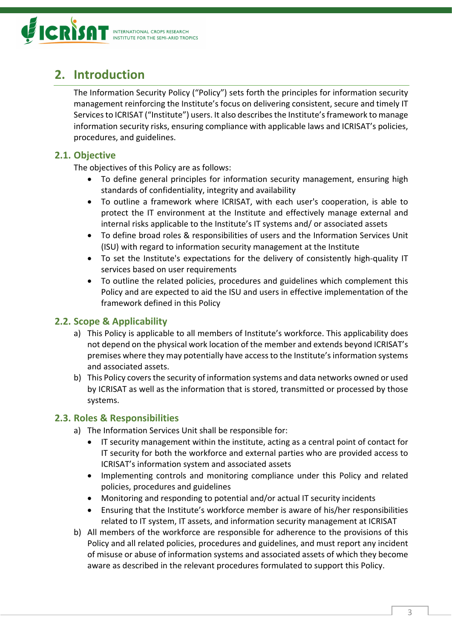

# <span id="page-3-0"></span>**2. Introduction**

The Information Security Policy ("Policy") sets forth the principles for information security management reinforcing the Institute's focus on delivering consistent, secure and timely IT Services to ICRISAT ("Institute") users. It also describes the Institute's framework to manage information security risks, ensuring compliance with applicable laws and ICRISAT's policies, procedures, and guidelines.

## <span id="page-3-1"></span>**2.1. Objective**

The objectives of this Policy are as follows:

- To define general principles for information security management, ensuring high standards of confidentiality, integrity and availability
- To outline a framework where ICRISAT, with each user's cooperation, is able to protect the IT environment at the Institute and effectively manage external and internal risks applicable to the Institute's IT systems and/ or associated assets
- To define broad roles & responsibilities of users and the Information Services Unit (ISU) with regard to information security management at the Institute
- To set the Institute's expectations for the delivery of consistently high-quality IT services based on user requirements
- To outline the related policies, procedures and guidelines which complement this Policy and are expected to aid the ISU and users in effective implementation of the framework defined in this Policy

# <span id="page-3-2"></span>**2.2. Scope & Applicability**

- a) This Policy is applicable to all members of Institute's workforce. This applicability does not depend on the physical work location of the member and extends beyond ICRISAT's premises where they may potentially have access to the Institute's information systems and associated assets.
- b) This Policy covers the security of information systems and data networks owned or used by ICRISAT as well as the information that is stored, transmitted or processed by those systems.

# <span id="page-3-3"></span>**2.3. Roles & Responsibilities**

- a) The Information Services Unit shall be responsible for:
	- IT security management within the institute, acting as a central point of contact for IT security for both the workforce and external parties who are provided access to ICRISAT's information system and associated assets
	- Implementing controls and monitoring compliance under this Policy and related policies, procedures and guidelines
	- Monitoring and responding to potential and/or actual IT security incidents
	- Ensuring that the Institute's workforce member is aware of his/her responsibilities related to IT system, IT assets, and information security management at ICRISAT
- b) All members of the workforce are responsible for adherence to the provisions of this Policy and all related policies, procedures and guidelines, and must report any incident of misuse or abuse of information systems and associated assets of which they become aware as described in the relevant procedures formulated to support this Policy.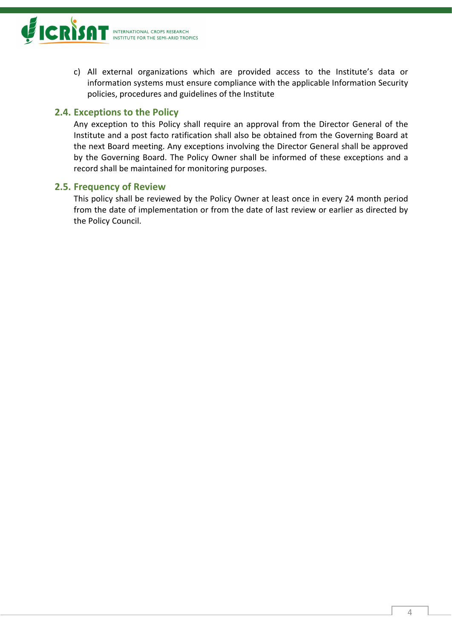

c) All external organizations which are provided access to the Institute's data or information systems must ensure compliance with the applicable Information Security policies, procedures and guidelines of the Institute

### <span id="page-4-0"></span>**2.4. Exceptions to the Policy**

Any exception to this Policy shall require an approval from the Director General of the Institute and a post facto ratification shall also be obtained from the Governing Board at the next Board meeting. Any exceptions involving the Director General shall be approved by the Governing Board. The Policy Owner shall be informed of these exceptions and a record shall be maintained for monitoring purposes.

#### <span id="page-4-1"></span>**2.5. Frequency of Review**

This policy shall be reviewed by the Policy Owner at least once in every 24 month period from the date of implementation or from the date of last review or earlier as directed by the Policy Council.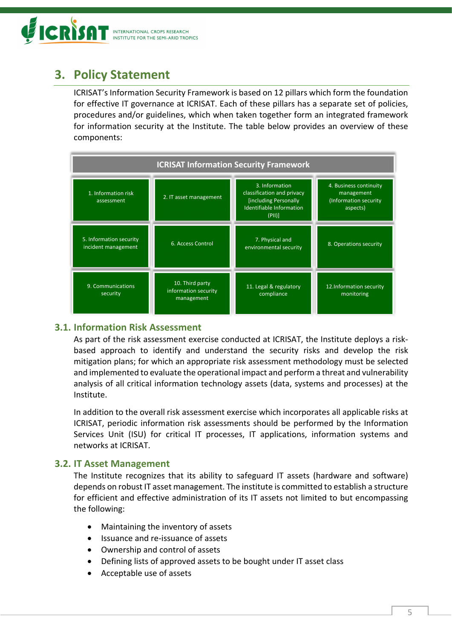

# <span id="page-5-0"></span>**3. Policy Statement**

ICRISAT's Information Security Framework is based on 12 pillars which form the foundation for effective IT governance at ICRISAT. Each of these pillars has a separate set of policies, procedures and/or guidelines, which when taken together form an integrated framework for information security at the Institute. The table below provides an overview of these components:



## <span id="page-5-1"></span>**3.1. Information Risk Assessment**

As part of the risk assessment exercise conducted at ICRISAT, the Institute deploys a riskbased approach to identify and understand the security risks and develop the risk mitigation plans; for which an appropriate risk assessment methodology must be selected and implemented to evaluate the operational impact and perform a threat and vulnerability analysis of all critical information technology assets (data, systems and processes) at the Institute.

In addition to the overall risk assessment exercise which incorporates all applicable risks at ICRISAT, periodic information risk assessments should be performed by the Information Services Unit (ISU) for critical IT processes, IT applications, information systems and networks at ICRISAT.

#### <span id="page-5-2"></span>**3.2. IT Asset Management**

The Institute recognizes that its ability to safeguard IT assets (hardware and software) depends on robust IT asset management. The institute is committed to establish a structure for efficient and effective administration of its IT assets not limited to but encompassing the following:

- Maintaining the inventory of assets
- Issuance and re-issuance of assets
- Ownership and control of assets
- Defining lists of approved assets to be bought under IT asset class
- Acceptable use of assets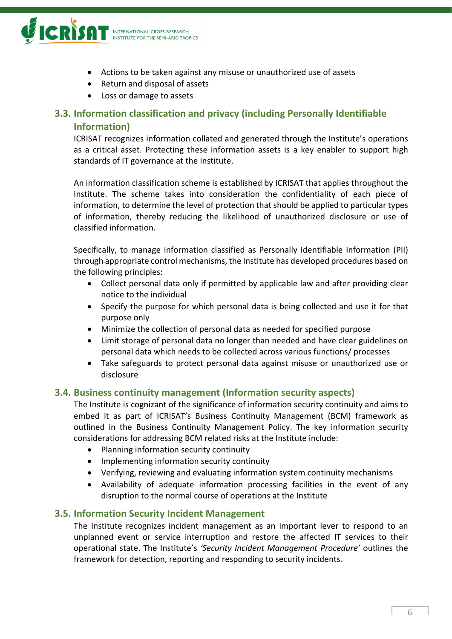

- Actions to be taken against any misuse or unauthorized use of assets
- Return and disposal of assets
- Loss or damage to assets

# <span id="page-6-0"></span>**3.3. Information classification and privacy (including Personally Identifiable Information)**

ICRISAT recognizes information collated and generated through the Institute's operations as a critical asset. Protecting these information assets is a key enabler to support high standards of IT governance at the Institute.

An information classification scheme is established by ICRISAT that applies throughout the Institute. The scheme takes into consideration the confidentiality of each piece of information, to determine the level of protection that should be applied to particular types of information, thereby reducing the likelihood of unauthorized disclosure or use of classified information.

Specifically, to manage information classified as Personally Identifiable Information (PII) through appropriate control mechanisms, the Institute has developed procedures based on the following principles:

- Collect personal data only if permitted by applicable law and after providing clear notice to the individual
- Specify the purpose for which personal data is being collected and use it for that purpose only
- Minimize the collection of personal data as needed for specified purpose
- Limit storage of personal data no longer than needed and have clear guidelines on personal data which needs to be collected across various functions/ processes
- Take safeguards to protect personal data against misuse or unauthorized use or disclosure

#### <span id="page-6-1"></span>**3.4. Business continuity management (Information security aspects)**

The Institute is cognizant of the significance of information security continuity and aims to embed it as part of ICRISAT's Business Continuity Management (BCM) framework as outlined in the Business Continuity Management Policy. The key information security considerations for addressing BCM related risks at the Institute include:

- Planning information security continuity
- Implementing information security continuity
- Verifying, reviewing and evaluating information system continuity mechanisms
- Availability of adequate information processing facilities in the event of any disruption to the normal course of operations at the Institute

#### <span id="page-6-2"></span>**3.5. Information Security Incident Management**

The Institute recognizes incident management as an important lever to respond to an unplanned event or service interruption and restore the affected IT services to their operational state. The Institute's *'Security Incident Management Procedure'* outlines the framework for detection, reporting and responding to security incidents.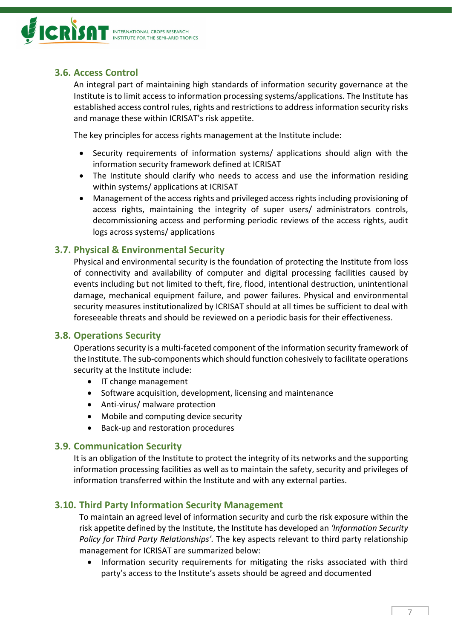

# <span id="page-7-0"></span>**3.6. Access Control**

An integral part of maintaining high standards of information security governance at the Institute is to limit access to information processing systems/applications. The Institute has established access control rules, rights and restrictions to address information security risks and manage these within ICRISAT's risk appetite.

The key principles for access rights management at the Institute include:

- Security requirements of information systems/ applications should align with the information security framework defined at ICRISAT
- The Institute should clarify who needs to access and use the information residing within systems/ applications at ICRISAT
- Management of the access rights and privileged access rights including provisioning of access rights, maintaining the integrity of super users/ administrators controls, decommissioning access and performing periodic reviews of the access rights, audit logs across systems/ applications

## <span id="page-7-1"></span>**3.7. Physical & Environmental Security**

Physical and environmental security is the foundation of protecting the Institute from loss of connectivity and availability of computer and digital processing facilities caused by events including but not limited to theft, fire, flood, intentional destruction, unintentional damage, mechanical equipment failure, and power failures. Physical and environmental security measures institutionalized by ICRISAT should at all times be sufficient to deal with foreseeable threats and should be reviewed on a periodic basis for their effectiveness.

#### <span id="page-7-2"></span>**3.8. Operations Security**

Operations security is a multi-faceted component of the information security framework of the Institute. The sub-components which should function cohesively to facilitate operations security at the Institute include:

- IT change management
- Software acquisition, development, licensing and maintenance
- Anti-virus/ malware protection
- Mobile and computing device security
- Back-up and restoration procedures

#### <span id="page-7-3"></span>**3.9. Communication Security**

It is an obligation of the Institute to protect the integrity of its networks and the supporting information processing facilities as well as to maintain the safety, security and privileges of information transferred within the Institute and with any external parties.

#### <span id="page-7-4"></span>**3.10. Third Party Information Security Management**

To maintain an agreed level of information security and curb the risk exposure within the risk appetite defined by the Institute, the Institute has developed an *'Information Security Policy for Third Party Relationships'.* The key aspects relevant to third party relationship management for ICRISAT are summarized below:

• Information security requirements for mitigating the risks associated with third party's access to the Institute's assets should be agreed and documented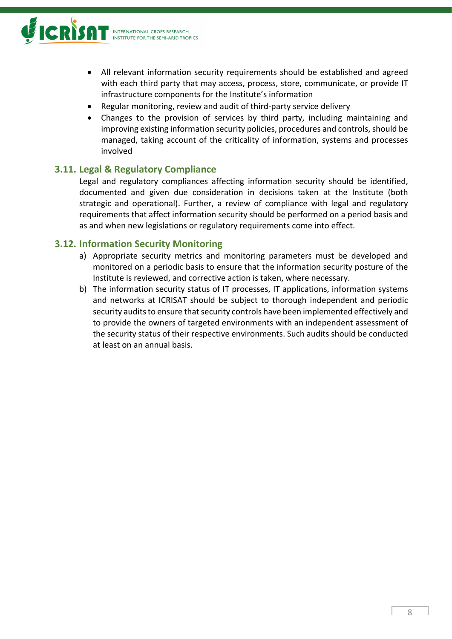

- All relevant information security requirements should be established and agreed with each third party that may access, process, store, communicate, or provide IT infrastructure components for the Institute's information
- Regular monitoring, review and audit of third-party service delivery
- Changes to the provision of services by third party, including maintaining and improving existing information security policies, procedures and controls, should be managed, taking account of the criticality of information, systems and processes involved

## <span id="page-8-0"></span>**3.11. Legal & Regulatory Compliance**

Legal and regulatory compliances affecting information security should be identified, documented and given due consideration in decisions taken at the Institute (both strategic and operational). Further, a review of compliance with legal and regulatory requirements that affect information security should be performed on a period basis and as and when new legislations or regulatory requirements come into effect.

#### <span id="page-8-1"></span>**3.12. Information Security Monitoring**

- a) Appropriate security metrics and monitoring parameters must be developed and monitored on a periodic basis to ensure that the information security posture of the Institute is reviewed, and corrective action is taken, where necessary.
- b) The information security status of IT processes, IT applications, information systems and networks at ICRISAT should be subject to thorough independent and periodic security audits to ensure that security controls have been implemented effectively and to provide the owners of targeted environments with an independent assessment of the security status of their respective environments. Such audits should be conducted at least on an annual basis.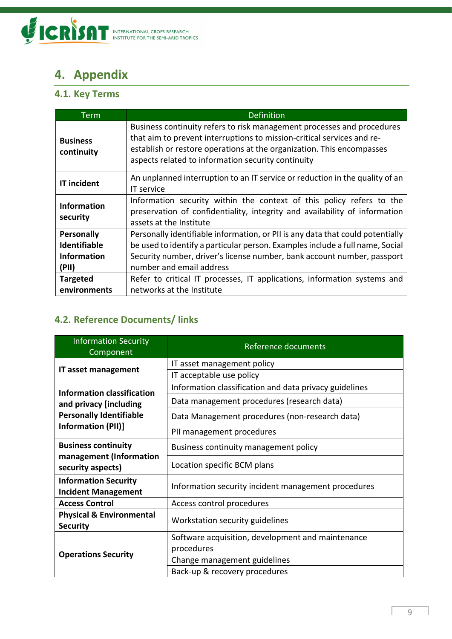

# <span id="page-9-0"></span>**4. Appendix**

# <span id="page-9-1"></span>**4.1. Key Terms**

| Term                           | <b>Definition</b>                                                                                                                                                                                                                                                               |
|--------------------------------|---------------------------------------------------------------------------------------------------------------------------------------------------------------------------------------------------------------------------------------------------------------------------------|
| <b>Business</b><br>continuity  | Business continuity refers to risk management processes and procedures<br>that aim to prevent interruptions to mission-critical services and re-<br>establish or restore operations at the organization. This encompasses<br>aspects related to information security continuity |
| <b>IT incident</b>             | An unplanned interruption to an IT service or reduction in the quality of an<br>IT service                                                                                                                                                                                      |
| <b>Information</b><br>security | Information security within the context of this policy refers to the<br>preservation of confidentiality, integrity and availability of information<br>assets at the Institute                                                                                                   |
| Personally                     | Personally identifiable information, or PII is any data that could potentially                                                                                                                                                                                                  |
| <b>Identifiable</b>            | be used to identify a particular person. Examples include a full name, Social                                                                                                                                                                                                   |
| <b>Information</b>             | Security number, driver's license number, bank account number, passport                                                                                                                                                                                                         |
| (PII)                          | number and email address                                                                                                                                                                                                                                                        |
| <b>Targeted</b>                | Refer to critical IT processes, IT applications, information systems and                                                                                                                                                                                                        |
| environments                   | networks at the Institute                                                                                                                                                                                                                                                       |

# <span id="page-9-2"></span>**4.2. Reference Documents/ links**

| <b>Information Security</b><br>Component                  | Reference documents                                    |
|-----------------------------------------------------------|--------------------------------------------------------|
|                                                           | IT asset management policy                             |
| IT asset management                                       | IT acceptable use policy                               |
| <b>Information classification</b>                         | Information classification and data privacy guidelines |
| and privacy [including]                                   | Data management procedures (research data)             |
| <b>Personally Identifiable</b>                            | Data Management procedures (non-research data)         |
| Information (PII)]                                        | PII management procedures                              |
| <b>Business continuity</b>                                | Business continuity management policy                  |
| management (Information<br>security aspects)              | Location specific BCM plans                            |
| <b>Information Security</b><br><b>Incident Management</b> | Information security incident management procedures    |
| <b>Access Control</b>                                     | Access control procedures                              |
| <b>Physical &amp; Environmental</b><br><b>Security</b>    | Workstation security guidelines                        |
|                                                           | Software acquisition, development and maintenance      |
| <b>Operations Security</b>                                | procedures                                             |
|                                                           | Change management guidelines                           |
|                                                           | Back-up & recovery procedures                          |